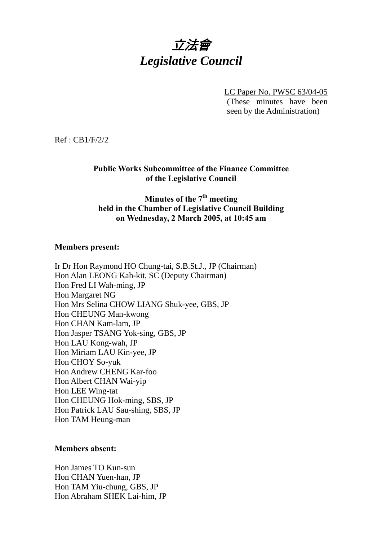# 立法會 *Legislative Council*

LC Paper No. PWSC 63/04-05

(These minutes have been seen by the Administration)

Ref : CB1/F/2/2

# **Public Works Subcommittee of the Finance Committee of the Legislative Council**

# **Minutes of the 7th meeting held in the Chamber of Legislative Council Building on Wednesday, 2 March 2005, at 10:45 am**

# **Members present:**

Ir Dr Hon Raymond HO Chung-tai, S.B.St.J., JP (Chairman) Hon Alan LEONG Kah-kit, SC (Deputy Chairman) Hon Fred LI Wah-ming, JP Hon Margaret NG Hon Mrs Selina CHOW LIANG Shuk-yee, GBS, JP Hon CHEUNG Man-kwong Hon CHAN Kam-lam, JP Hon Jasper TSANG Yok-sing, GBS, JP Hon LAU Kong-wah, JP Hon Miriam LAU Kin-yee, JP Hon CHOY So-yuk Hon Andrew CHENG Kar-foo Hon Albert CHAN Wai-yip Hon LEE Wing-tat Hon CHEUNG Hok-ming, SBS, JP Hon Patrick LAU Sau-shing, SBS, JP Hon TAM Heung-man

## **Members absent:**

Hon James TO Kun-sun Hon CHAN Yuen-han, JP Hon TAM Yiu-chung, GBS, JP Hon Abraham SHEK Lai-him, JP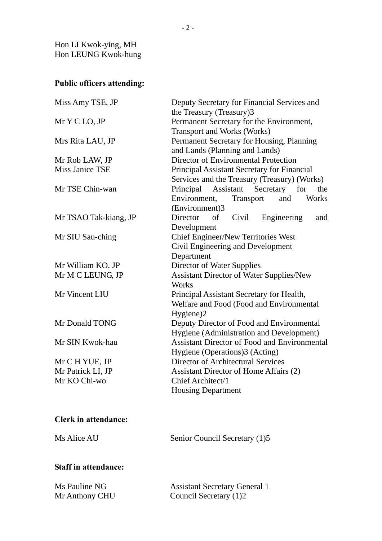Hon LI Kwok-ying, MH Hon LEUNG Kwok-hung

# **Public officers attending:**

| Miss Amy TSE, JP      | Deputy Secretary for Financial Services and<br>the Treasury (Treasury)3                                           |  |
|-----------------------|-------------------------------------------------------------------------------------------------------------------|--|
| Mr Y C LO, JP         | Permanent Secretary for the Environment,<br><b>Transport and Works (Works)</b>                                    |  |
| Mrs Rita LAU, JP      | Permanent Secretary for Housing, Planning<br>and Lands (Planning and Lands)                                       |  |
| Mr Rob LAW, JP        | Director of Environmental Protection                                                                              |  |
| Miss Janice TSE       | Principal Assistant Secretary for Financial<br>Services and the Treasury (Treasury) (Works)                       |  |
| Mr TSE Chin-wan       | Principal Assistant Secretary<br>for<br>the<br>Environment,<br><b>Works</b><br>and<br>Transport<br>(Environment)3 |  |
| Mr TSAO Tak-kiang, JP | Civil<br>Director<br>of<br>Engineering<br>and<br>Development                                                      |  |
| Mr SIU Sau-ching      | <b>Chief Engineer/New Territories West</b><br>Civil Engineering and Development<br>Department                     |  |
| Mr William KO, JP     | Director of Water Supplies                                                                                        |  |
| Mr M C LEUNG, JP      | Assistant Director of Water Supplies/New<br><b>Works</b>                                                          |  |
| Mr Vincent LIU        | Principal Assistant Secretary for Health,<br>Welfare and Food (Food and Environmental<br>Hygiene)2                |  |
| Mr Donald TONG        | Deputy Director of Food and Environmental<br>Hygiene (Administration and Development)                             |  |
| Mr SIN Kwok-hau       | <b>Assistant Director of Food and Environmental</b><br>Hygiene (Operations)3 (Acting)                             |  |
| Mr C H YUE, JP        | Director of Architectural Services                                                                                |  |
| Mr Patrick LI, JP     | Assistant Director of Home Affairs (2)                                                                            |  |
| Mr KO Chi-wo          | Chief Architect/1<br><b>Housing Department</b>                                                                    |  |

# **Clerk in attendance:**

Ms Alice AU Senior Council Secretary (1)5

# **Staff in attendance:**

| Ms Pauline NG  | <b>Assistant Secretary General 1</b> |
|----------------|--------------------------------------|
| Mr Anthony CHU | Council Secretary (1)2               |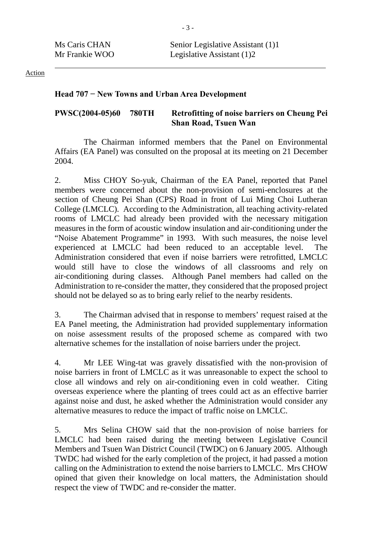Ms Caris CHAN Senior Legislative Assistant (1)1 Mr Frankie WOO Legislative Assistant (1)2

### Action

## **Head 707 − New Towns and Urban Area Development**

# **PWSC(2004-05)60 780TH Retrofitting of noise barriers on Cheung Pei Shan Road, Tsuen Wan**

 The Chairman informed members that the Panel on Environmental Affairs (EA Panel) was consulted on the proposal at its meeting on 21 December 2004.

2. Miss CHOY So-yuk, Chairman of the EA Panel, reported that Panel members were concerned about the non-provision of semi-enclosures at the section of Cheung Pei Shan (CPS) Road in front of Lui Ming Choi Lutheran College (LMCLC). According to the Administration, all teaching activity-related rooms of LMCLC had already been provided with the necessary mitigation measures in the form of acoustic window insulation and air-conditioning under the "Noise Abatement Programme" in 1993. With such measures, the noise level experienced at LMCLC had been reduced to an acceptable level. The Administration considered that even if noise barriers were retrofitted, LMCLC would still have to close the windows of all classrooms and rely on air-conditioning during classes. Although Panel members had called on the Administration to re-consider the matter, they considered that the proposed project should not be delayed so as to bring early relief to the nearby residents.

3. The Chairman advised that in response to members' request raised at the EA Panel meeting, the Administration had provided supplementary information on noise assessment results of the proposed scheme as compared with two alternative schemes for the installation of noise barriers under the project.

4. Mr LEE Wing-tat was gravely dissatisfied with the non-provision of noise barriers in front of LMCLC as it was unreasonable to expect the school to close all windows and rely on air-conditioning even in cold weather. Citing overseas experience where the planting of trees could act as an effective barrier against noise and dust, he asked whether the Administration would consider any alternative measures to reduce the impact of traffic noise on LMCLC.

5. Mrs Selina CHOW said that the non-provision of noise barriers for LMCLC had been raised during the meeting between Legislative Council Members and Tsuen Wan District Council (TWDC) on 6 January 2005. Although TWDC had wished for the early completion of the project, it had passed a motion calling on the Administration to extend the noise barriers to LMCLC. Mrs CHOW opined that given their knowledge on local matters, the Administation should respect the view of TWDC and re-consider the matter.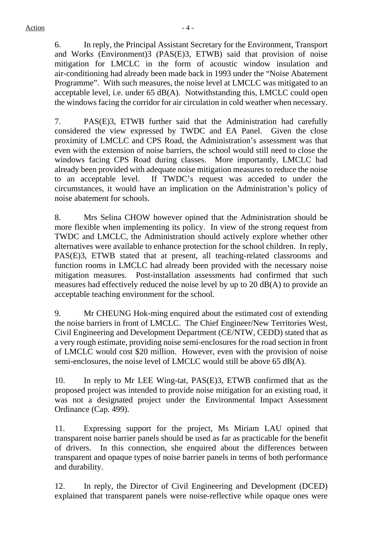6. In reply, the Principal Assistant Secretary for the Environment, Transport and Works (Environment)3 (PAS(E)3, ETWB) said that provision of noise mitigation for LMCLC in the form of acoustic window insulation and air-conditioning had already been made back in 1993 under the "Noise Abatement Programme". With such measures, the noise level at LMCLC was mitigated to an acceptable level, i.e. under 65 dB(A). Notwithstanding this, LMCLC could open the windows facing the corridor for air circulation in cold weather when necessary.

7. PAS(E)3, ETWB further said that the Administration had carefully considered the view expressed by TWDC and EA Panel. Given the close proximity of LMCLC and CPS Road, the Administration's assessment was that even with the extension of noise barriers, the school would still need to close the windows facing CPS Road during classes. More importantly, LMCLC had already been provided with adequate noise mitigation measures to reduce the noise to an acceptable level. If TWDC's request was acceded to under the circumstances, it would have an implication on the Administration's policy of noise abatement for schools.

8. Mrs Selina CHOW however opined that the Administration should be more flexible when implementing its policy. In view of the strong request from TWDC and LMCLC, the Administration should actively explore whether other alternatives were available to enhance protection for the school children. In reply, PAS(E)3, ETWB stated that at present, all teaching-related classrooms and function rooms in LMCLC had already been provided with the necessary noise mitigation measures. Post-installation assessments had confirmed that such measures had effectively reduced the noise level by up to 20 dB(A) to provide an acceptable teaching environment for the school.

9. Mr CHEUNG Hok-ming enquired about the estimated cost of extending the noise barriers in front of LMCLC. The Chief Engineer/New Territories West, Civil Engineering and Development Department (CE/NTW, CEDD) stated that as a very rough estimate, providing noise semi-enclosures for the road section in front of LMCLC would cost \$20 million. However, even with the provision of noise semi-enclosures, the noise level of LMCLC would still be above 65 dB(A).

10. In reply to Mr LEE Wing-tat, PAS(E)3, ETWB confirmed that as the proposed project was intended to provide noise mitigation for an existing road, it was not a designated project under the Environmental Impact Assessment Ordinance (Cap. 499).

11. Expressing support for the project, Ms Miriam LAU opined that transparent noise barrier panels should be used as far as practicable for the benefit of drivers. In this connection, she enquired about the differences between transparent and opaque types of noise barrier panels in terms of both performance and durability.

12. In reply, the Director of Civil Engineering and Development (DCED) explained that transparent panels were noise-reflective while opaque ones were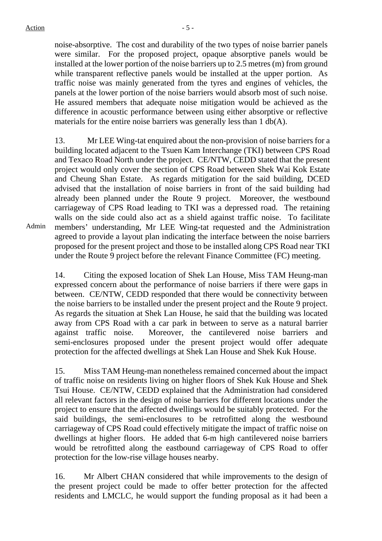noise-absorptive. The cost and durability of the two types of noise barrier panels were similar. For the proposed project, opaque absorptive panels would be installed at the lower portion of the noise barriers up to 2.5 metres (m) from ground while transparent reflective panels would be installed at the upper portion. As traffic noise was mainly generated from the tyres and engines of vehicles, the panels at the lower portion of the noise barriers would absorb most of such noise. He assured members that adequate noise mitigation would be achieved as the difference in acoustic performance between using either absorptive or reflective materials for the entire noise barriers was generally less than 1 db(A).

13. Mr LEE Wing-tat enquired about the non-provision of noise barriers for a building located adjacent to the Tsuen Kam Interchange (TKI) between CPS Road and Texaco Road North under the project. CE/NTW, CEDD stated that the present project would only cover the section of CPS Road between Shek Wai Kok Estate and Cheung Shan Estate. As regards mitigation for the said building, DCED advised that the installation of noise barriers in front of the said building had already been planned under the Route 9 project. Moreover, the westbound carriageway of CPS Road leading to TKI was a depressed road. The retaining walls on the side could also act as a shield against traffic noise. To facilitate members' understanding, Mr LEE Wing-tat requested and the Administration agreed to provide a layout plan indicating the interface between the noise barriers proposed for the present project and those to be installed along CPS Road near TKI under the Route 9 project before the relevant Finance Committee (FC) meeting.

14. Citing the exposed location of Shek Lan House, Miss TAM Heung-man expressed concern about the performance of noise barriers if there were gaps in between. CE/NTW, CEDD responded that there would be connectivity between the noise barriers to be installed under the present project and the Route 9 project. As regards the situation at Shek Lan House, he said that the building was located away from CPS Road with a car park in between to serve as a natural barrier against traffic noise. Moreover, the cantilevered noise barriers and semi-enclosures proposed under the present project would offer adequate protection for the affected dwellings at Shek Lan House and Shek Kuk House.

15. Miss TAM Heung-man nonetheless remained concerned about the impact of traffic noise on residents living on higher floors of Shek Kuk House and Shek Tsui House. CE/NTW, CEDD explained that the Administration had considered all relevant factors in the design of noise barriers for different locations under the project to ensure that the affected dwellings would be suitably protected. For the said buildings, the semi-enclosures to be retrofitted along the westbound carriageway of CPS Road could effectively mitigate the impact of traffic noise on dwellings at higher floors. He added that 6-m high cantilevered noise barriers would be retrofitted along the eastbound carriageway of CPS Road to offer protection for the low-rise village houses nearby.

16. Mr Albert CHAN considered that while improvements to the design of the present project could be made to offer better protection for the affected residents and LMCLC, he would support the funding proposal as it had been a

Admin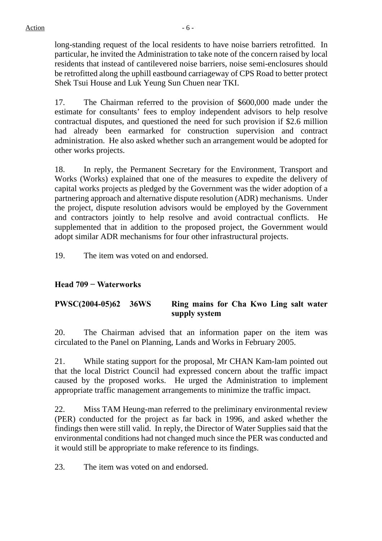long-standing request of the local residents to have noise barriers retrofitted. In particular, he invited the Administration to take note of the concern raised by local residents that instead of cantilevered noise barriers, noise semi-enclosures should be retrofitted along the uphill eastbound carriageway of CPS Road to better protect Shek Tsui House and Luk Yeung Sun Chuen near TKI.

17. The Chairman referred to the provision of \$600,000 made under the estimate for consultants' fees to employ independent advisors to help resolve contractual disputes, and questioned the need for such provision if \$2.6 million had already been earmarked for construction supervision and contract administration. He also asked whether such an arrangement would be adopted for other works projects.

18. In reply, the Permanent Secretary for the Environment, Transport and Works (Works) explained that one of the measures to expedite the delivery of capital works projects as pledged by the Government was the wider adoption of a partnering approach and alternative dispute resolution (ADR) mechanisms. Under the project, dispute resolution advisors would be employed by the Government and contractors jointly to help resolve and avoid contractual conflicts. He supplemented that in addition to the proposed project, the Government would adopt similar ADR mechanisms for four other infrastructural projects.

19. The item was voted on and endorsed.

# **Head 709 − Waterworks**

# **PWSC(2004-05)62 36WS Ring mains for Cha Kwo Ling salt water supply system**

20. The Chairman advised that an information paper on the item was circulated to the Panel on Planning, Lands and Works in February 2005.

21. While stating support for the proposal, Mr CHAN Kam-lam pointed out that the local District Council had expressed concern about the traffic impact caused by the proposed works. He urged the Administration to implement appropriate traffic management arrangements to minimize the traffic impact.

22. Miss TAM Heung-man referred to the preliminary environmental review (PER) conducted for the project as far back in 1996, and asked whether the findings then were still valid. In reply, the Director of Water Supplies said that the environmental conditions had not changed much since the PER was conducted and it would still be appropriate to make reference to its findings.

23. The item was voted on and endorsed.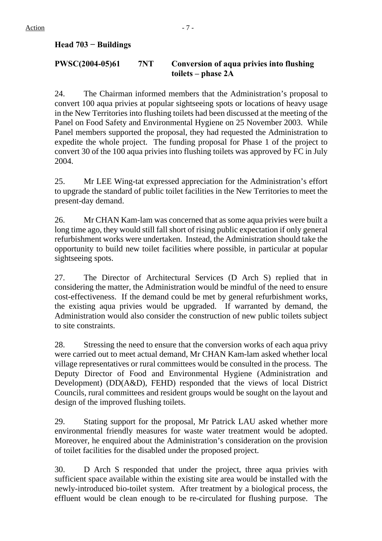# **Head 703 − Buildings**

# **PWSC(2004-05)61 7NT Conversion of aqua privies into flushing**  toilets – phase 2A

24. The Chairman informed members that the Administration's proposal to convert 100 aqua privies at popular sightseeing spots or locations of heavy usage in the New Territories into flushing toilets had been discussed at the meeting of the Panel on Food Safety and Environmental Hygiene on 25 November 2003. While Panel members supported the proposal, they had requested the Administration to expedite the whole project. The funding proposal for Phase 1 of the project to convert 30 of the 100 aqua privies into flushing toilets was approved by FC in July 2004.

25. Mr LEE Wing-tat expressed appreciation for the Administration's effort to upgrade the standard of public toilet facilities in the New Territories to meet the present-day demand.

26. Mr CHAN Kam-lam was concerned that as some aqua privies were built a long time ago, they would still fall short of rising public expectation if only general refurbishment works were undertaken. Instead, the Administration should take the opportunity to build new toilet facilities where possible, in particular at popular sightseeing spots.

27. The Director of Architectural Services (D Arch S) replied that in considering the matter, the Administration would be mindful of the need to ensure cost-effectiveness. If the demand could be met by general refurbishment works, the existing aqua privies would be upgraded. If warranted by demand, the Administration would also consider the construction of new public toilets subject to site constraints.

28. Stressing the need to ensure that the conversion works of each aqua privy were carried out to meet actual demand, Mr CHAN Kam-lam asked whether local village representatives or rural committees would be consulted in the process. The Deputy Director of Food and Environmental Hygiene (Administration and Development) (DD(A&D), FEHD) responded that the views of local District Councils, rural committees and resident groups would be sought on the layout and design of the improved flushing toilets.

29. Stating support for the proposal, Mr Patrick LAU asked whether more environmental friendly measures for waste water treatment would be adopted. Moreover, he enquired about the Administration's consideration on the provision of toilet facilities for the disabled under the proposed project.

30. D Arch S responded that under the project, three aqua privies with sufficient space available within the existing site area would be installed with the newly-introduced bio-toilet system. After treatment by a biological process, the effluent would be clean enough to be re-circulated for flushing purpose. The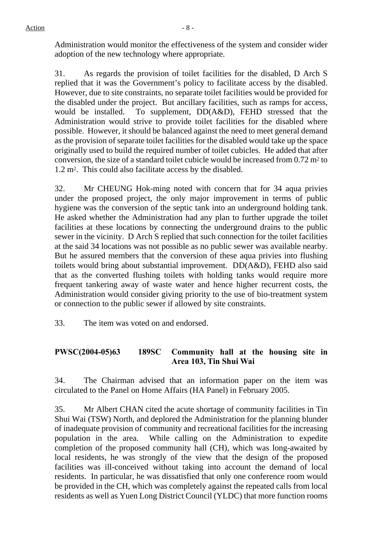Administration would monitor the effectiveness of the system and consider wider adoption of the new technology where appropriate.

31. As regards the provision of toilet facilities for the disabled, D Arch S replied that it was the Government's policy to facilitate access by the disabled. However, due to site constraints, no separate toilet facilities would be provided for the disabled under the project. But ancillary facilities, such as ramps for access, would be installed. To supplement, DD(A&D), FEHD stressed that the Administration would strive to provide toilet facilities for the disabled where possible. However, it should be balanced against the need to meet general demand as the provision of separate toilet facilities for the disabled would take up the space originally used to build the required number of toilet cubicles. He added that after conversion, the size of a standard toilet cubicle would be increased from 0.72 m2 to 1.2 m2. This could also facilitate access by the disabled.

32. Mr CHEUNG Hok-ming noted with concern that for 34 aqua privies under the proposed project, the only major improvement in terms of public hygiene was the conversion of the septic tank into an underground holding tank. He asked whether the Administration had any plan to further upgrade the toilet facilities at these locations by connecting the underground drains to the public sewer in the vicinity. D Arch S replied that such connection for the toilet facilities at the said 34 locations was not possible as no public sewer was available nearby. But he assured members that the conversion of these aqua privies into flushing toilets would bring about substantial improvement. DD(A&D), FEHD also said that as the converted flushing toilets with holding tanks would require more frequent tankering away of waste water and hence higher recurrent costs, the Administration would consider giving priority to the use of bio-treatment system or connection to the public sewer if allowed by site constraints.

33. The item was voted on and endorsed.

# **PWSC(2004-05)63 189SC Community hall at the housing site in Area 103, Tin Shui Wai**

34. The Chairman advised that an information paper on the item was circulated to the Panel on Home Affairs (HA Panel) in February 2005.

35. Mr Albert CHAN cited the acute shortage of community facilities in Tin Shui Wai (TSW) North, and deplored the Administration for the planning blunder of inadequate provision of community and recreational facilities for the increasing population in the area. While calling on the Administration to expedite completion of the proposed community hall (CH), which was long-awaited by local residents, he was strongly of the view that the design of the proposed facilities was ill-conceived without taking into account the demand of local residents. In particular, he was dissatisfied that only one conference room would be provided in the CH, which was completely against the repeated calls from local residents as well as Yuen Long District Council (YLDC) that more function rooms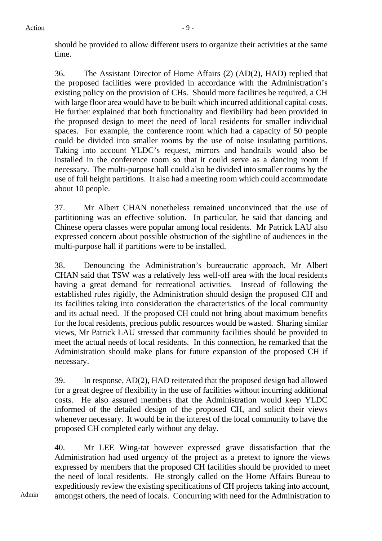should be provided to allow different users to organize their activities at the same time.

36. The Assistant Director of Home Affairs (2) (AD(2), HAD) replied that the proposed facilities were provided in accordance with the Administration's existing policy on the provision of CHs. Should more facilities be required, a CH with large floor area would have to be built which incurred additional capital costs. He further explained that both functionality and flexibility had been provided in the proposed design to meet the need of local residents for smaller individual spaces. For example, the conference room which had a capacity of 50 people could be divided into smaller rooms by the use of noise insulating partitions. Taking into account YLDC's request, mirrors and handrails would also be installed in the conference room so that it could serve as a dancing room if necessary. The multi-purpose hall could also be divided into smaller rooms by the use of full height partitions. It also had a meeting room which could accommodate about 10 people.

37. Mr Albert CHAN nonetheless remained unconvinced that the use of partitioning was an effective solution. In particular, he said that dancing and Chinese opera classes were popular among local residents. Mr Patrick LAU also expressed concern about possible obstruction of the sightline of audiences in the multi-purpose hall if partitions were to be installed.

38. Denouncing the Administration's bureaucratic approach, Mr Albert CHAN said that TSW was a relatively less well-off area with the local residents having a great demand for recreational activities. Instead of following the established rules rigidly, the Administration should design the proposed CH and its facilities taking into consideration the characteristics of the local community and its actual need. If the proposed CH could not bring about maximum benefits for the local residents, precious public resources would be wasted. Sharing similar views, Mr Patrick LAU stressed that community facilities should be provided to meet the actual needs of local residents. In this connection, he remarked that the Administration should make plans for future expansion of the proposed CH if necessary.

39. In response, AD(2), HAD reiterated that the proposed design had allowed for a great degree of flexibility in the use of facilities without incurring additional costs. He also assured members that the Administration would keep YLDC informed of the detailed design of the proposed CH, and solicit their views whenever necessary. It would be in the interest of the local community to have the proposed CH completed early without any delay.

40. Mr LEE Wing-tat however expressed grave dissatisfaction that the Administration had used urgency of the project as a pretext to ignore the views expressed by members that the proposed CH facilities should be provided to meet the need of local residents. He strongly called on the Home Affairs Bureau to expeditiously review the existing specifications of CH projects taking into account, amongst others, the need of locals. Concurring with need for the Administration to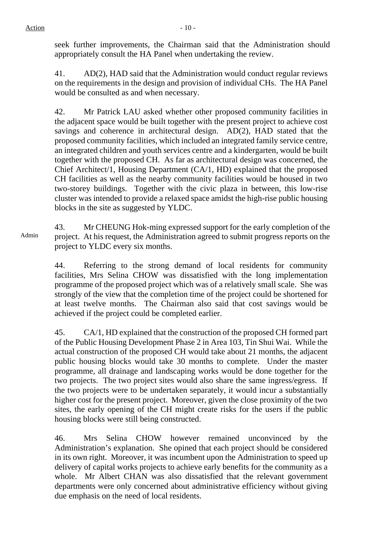seek further improvements, the Chairman said that the Administration should appropriately consult the HA Panel when undertaking the review.

41. AD(2), HAD said that the Administration would conduct regular reviews on the requirements in the design and provision of individual CHs. The HA Panel would be consulted as and when necessary.

42. Mr Patrick LAU asked whether other proposed community facilities in the adjacent space would be built together with the present project to achieve cost savings and coherence in architectural design. AD(2), HAD stated that the proposed community facilities, which included an integrated family service centre, an integrated children and youth services centre and a kindergarten, would be built together with the proposed CH. As far as architectural design was concerned, the Chief Architect/1, Housing Department (CA/1, HD) explained that the proposed CH facilities as well as the nearby community facilities would be housed in two two-storey buildings. Together with the civic plaza in between, this low-rise cluster was intended to provide a relaxed space amidst the high-rise public housing blocks in the site as suggested by YLDC.

43. Mr CHEUNG Hok-ming expressed support for the early completion of the project. At his request, the Administration agreed to submit progress reports on the project to YLDC every six months.

44. Referring to the strong demand of local residents for community facilities, Mrs Selina CHOW was dissatisfied with the long implementation programme of the proposed project which was of a relatively small scale. She was strongly of the view that the completion time of the project could be shortened for at least twelve months. The Chairman also said that cost savings would be achieved if the project could be completed earlier.

45. CA/1, HD explained that the construction of the proposed CH formed part of the Public Housing Development Phase 2 in Area 103, Tin Shui Wai. While the actual construction of the proposed CH would take about 21 months, the adjacent public housing blocks would take 30 months to complete. Under the master programme, all drainage and landscaping works would be done together for the two projects. The two project sites would also share the same ingress/egress. If the two projects were to be undertaken separately, it would incur a substantially higher cost for the present project. Moreover, given the close proximity of the two sites, the early opening of the CH might create risks for the users if the public housing blocks were still being constructed.

46. Mrs Selina CHOW however remained unconvinced by the Administration's explanation. She opined that each project should be considered in its own right. Moreover, it was incumbent upon the Administration to speed up delivery of capital works projects to achieve early benefits for the community as a whole. Mr Albert CHAN was also dissatisfied that the relevant government departments were only concerned about administrative efficiency without giving due emphasis on the need of local residents.

Admin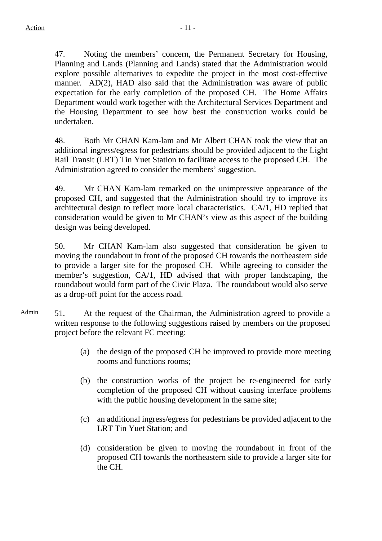47. Noting the members' concern, the Permanent Secretary for Housing, Planning and Lands (Planning and Lands) stated that the Administration would explore possible alternatives to expedite the project in the most cost-effective manner. AD(2), HAD also said that the Administration was aware of public expectation for the early completion of the proposed CH. The Home Affairs Department would work together with the Architectural Services Department and the Housing Department to see how best the construction works could be undertaken.

48. Both Mr CHAN Kam-lam and Mr Albert CHAN took the view that an additional ingress/egress for pedestrians should be provided adjacent to the Light Rail Transit (LRT) Tin Yuet Station to facilitate access to the proposed CH. The Administration agreed to consider the members' suggestion.

49. Mr CHAN Kam-lam remarked on the unimpressive appearance of the proposed CH, and suggested that the Administration should try to improve its architectural design to reflect more local characteristics. CA/1, HD replied that consideration would be given to Mr CHAN's view as this aspect of the building design was being developed.

50. Mr CHAN Kam-lam also suggested that consideration be given to moving the roundabout in front of the proposed CH towards the northeastern side to provide a larger site for the proposed CH. While agreeing to consider the member's suggestion, CA/1, HD advised that with proper landscaping, the roundabout would form part of the Civic Plaza. The roundabout would also serve as a drop-off point for the access road.

- Admin 51. At the request of the Chairman, the Administration agreed to provide a written response to the following suggestions raised by members on the proposed project before the relevant FC meeting:
	- (a) the design of the proposed CH be improved to provide more meeting rooms and functions rooms;
	- (b) the construction works of the project be re-engineered for early completion of the proposed CH without causing interface problems with the public housing development in the same site;
	- (c) an additional ingress/egress for pedestrians be provided adjacent to the LRT Tin Yuet Station; and
	- (d) consideration be given to moving the roundabout in front of the proposed CH towards the northeastern side to provide a larger site for the CH.